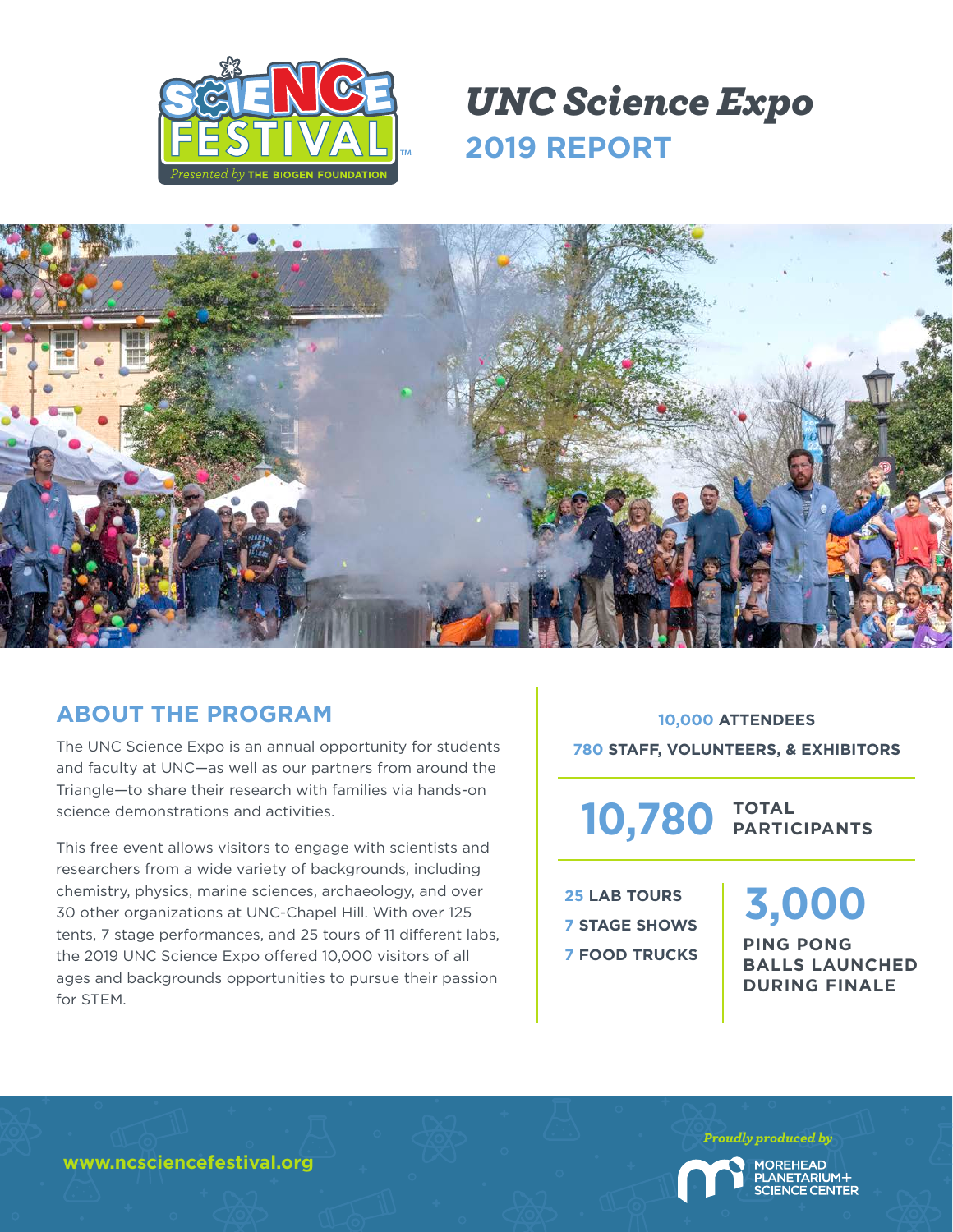

## *UNC Science Expo* **2019 REPORT**



### **ABOUT THE PROGRAM**

The UNC Science Expo is an annual opportunity for students and faculty at UNC—as well as our partners from around the Triangle—to share their research with families via hands-on science demonstrations and activities.

This free event allows visitors to engage with scientists and researchers from a wide variety of backgrounds, including chemistry, physics, marine sciences, archaeology, and over 30 other organizations at UNC-Chapel Hill. With over 125 tents, 7 stage performances, and 25 tours of 11 different labs, the 2019 UNC Science Expo offered 10,000 visitors of all ages and backgrounds opportunities to pursue their passion for STEM.

**10,000 ATTENDEES 780 STAFF, VOLUNTEERS, & EXHIBITORS**

**TOTAL 10,780 PARTICIPANTS**

**25 LAB TOURS 7 STAGE SHOWS 7 FOOD TRUCKS** **3,000**

**PING PONG BALLS LAUNCHED DURING FINALE**

**www.ncsciencefestival.org**

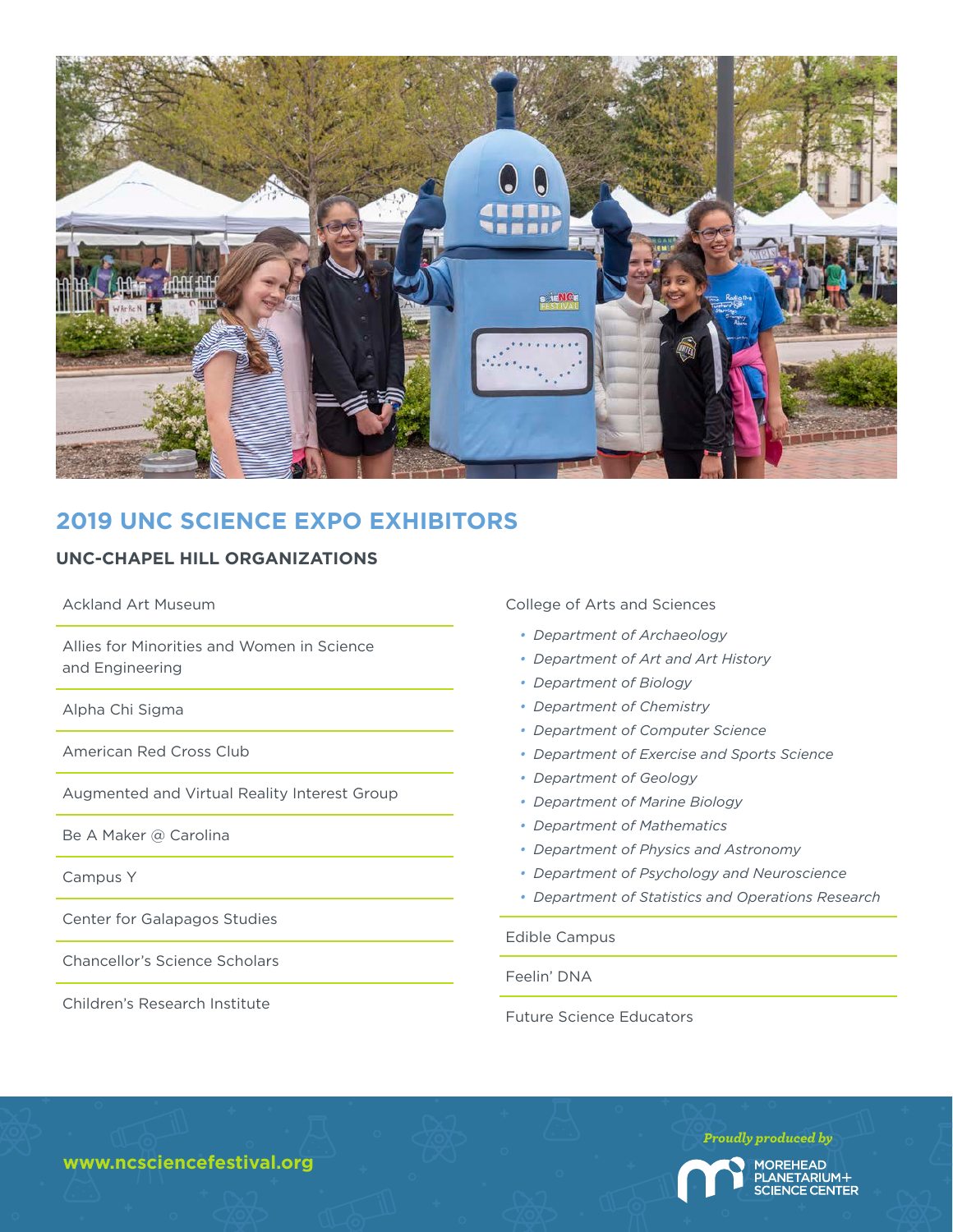

## **2019 UNC SCIENCE EXPO EXHIBITORS**

#### **UNC-CHAPEL HILL ORGANIZATIONS**

Ackland Art Museum

Allies for Minorities and Women in Science and Engineering

Alpha Chi Sigma

American Red Cross Club

Augmented and Virtual Reality Interest Group

Be A Maker @ Carolina

Campus Y

Center for Galapagos Studies

Chancellor's Science Scholars

Children's Research Institute

College of Arts and Sciences

- *• Department of Archaeology*
- *• Department of Art and Art History*
- *• Department of Biology*
- *• Department of Chemistry*
- *• Department of Computer Science*
- *• Department of Exercise and Sports Science*
- *• Department of Geology*
- *• Department of Marine Biology*
- *• Department of Mathematics*
- *• Department of Physics and Astronomy*
- *• Department of Psychology and Neuroscience*
- *• Department of Statistics and Operations Research*

Edible Campus

Feelin' DNA

Future Science Educators

**www.ncsciencefestival.org**

*Proudly produced by* **MOREHEAD** ANETARIUM+ **IENCE CENTER**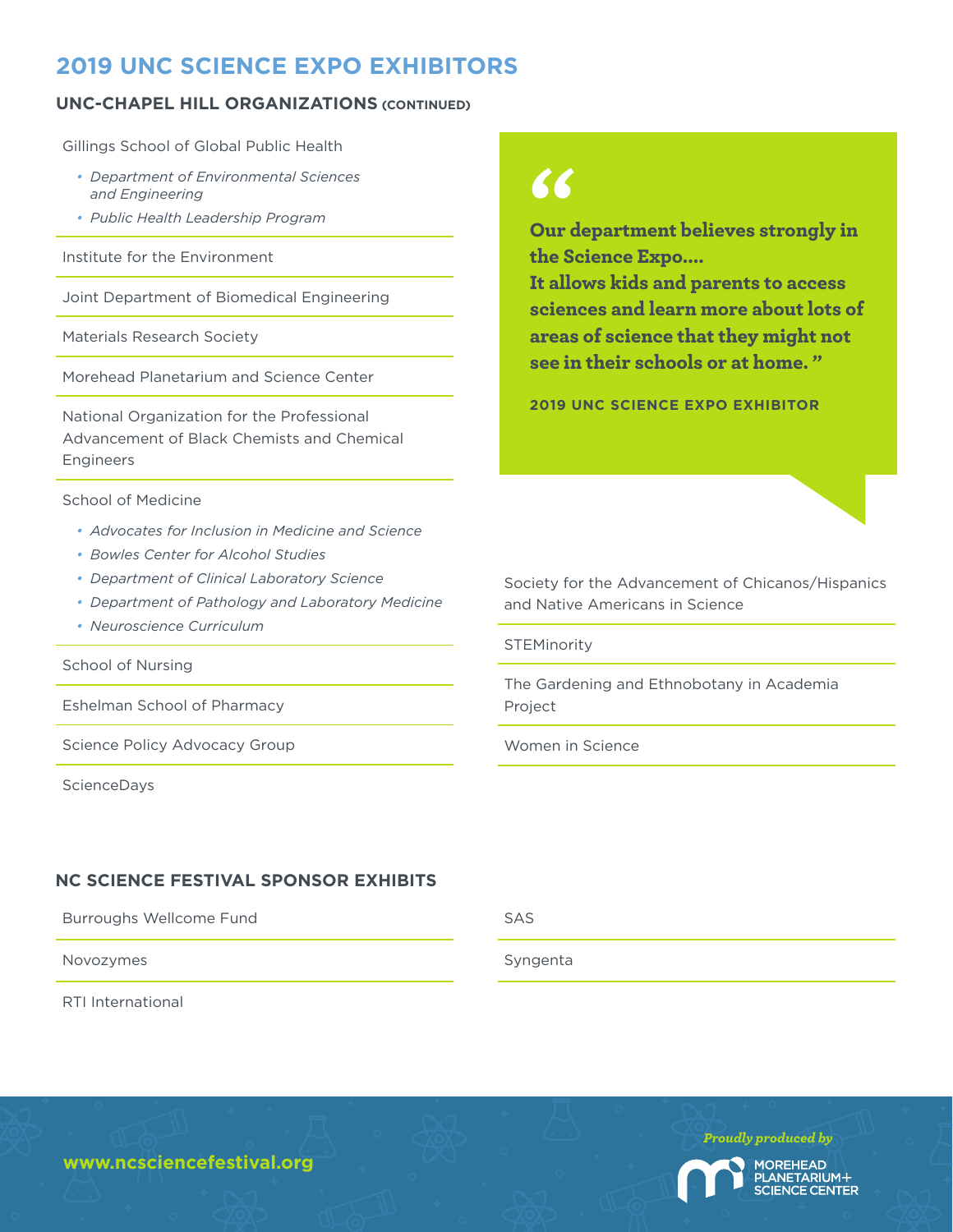## **2019 UNC SCIENCE EXPO EXHIBITORS**

#### **UNC-CHAPEL HILL ORGANIZATIONS (CONTINUED)**

Gillings School of Global Public Health

- *• Department of Environmental Sciences and Engineering*
- *• Public Health Leadership Program*

Institute for the Environment

Joint Department of Biomedical Engineering

Materials Research Society

Morehead Planetarium and Science Center

National Organization for the Professional Advancement of Black Chemists and Chemical Engineers

School of Medicine

- *• Advocates for Inclusion in Medicine and Science*
- *• Bowles Center for Alcohol Studies*
- *• Department of Clinical Laboratory Science*
- *• Department of Pathology and Laboratory Medicine*
- *• Neuroscience Curriculum*

School of Nursing

Eshelman School of Pharmacy

Science Policy Advocacy Group

ScienceDays

#### **NC SCIENCE FESTIVAL SPONSOR EXHIBITS**

Burroughs Wellcome Fund

Novozymes

RTI International

# $\epsilon$

Our department believes strongly in the Science Expo....

It allows kids and parents to access sciences and learn more about lots of areas of science that they might not see in their schools or at home. "

**2019 UNC SCIENCE EXPO EXHIBITOR**

Society for the Advancement of Chicanos/Hispanics and Native Americans in Science

**STEMinority** 

The Gardening and Ethnobotany in Academia Project

Women in Science

Syngenta



**www.ncsciencefestival.org**

SAS